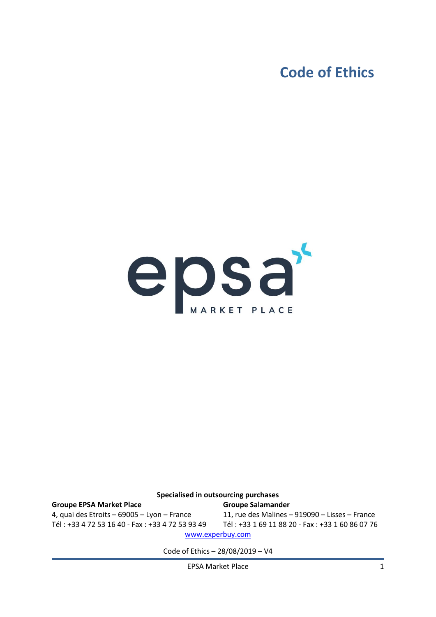### **Code of Ethics**



#### **Specialised in outsourcing purchases Groupe EPSA Market Place** 4, quai des Etroits – 69005 – Lyon – France Tél : +33 4 72 53 16 40 - Fax : +33 4 72 53 93 49 **Groupe Salamander** 11, rue des Malines – 919090 – Lisses – France Tél : +33 1 69 11 88 20 - Fax : +33 1 60 86 07 76 [www.experbuy.com](http://www.experbuy.com/)

Code of Ethics – 28/08/2019 – V4

EPSA Market Place 1 and 1 and 1 and 1 and 1 and 1 and 1 and 1 and 1 and 1 and 1 and 1 and 1 and 1 and 1 and 1 and 1 and 1 and 1 and 1 and 1 and 1 and 1 and 1 and 1 and 1 and 1 and 1 and 1 and 1 and 1 and 1 and 1 and 1 and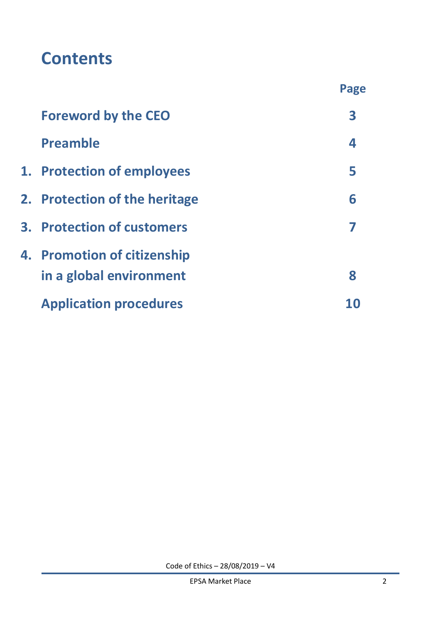# **Contents**

|                                   | Page |
|-----------------------------------|------|
| <b>Foreword by the CEO</b>        | 3    |
| <b>Preamble</b>                   | 4    |
| 1. Protection of employees        | 5    |
| 2. Protection of the heritage     | 6    |
| <b>3. Protection of customers</b> |      |
| 4. Promotion of citizenship       |      |
| in a global environment           | 8    |
| <b>Application procedures</b>     |      |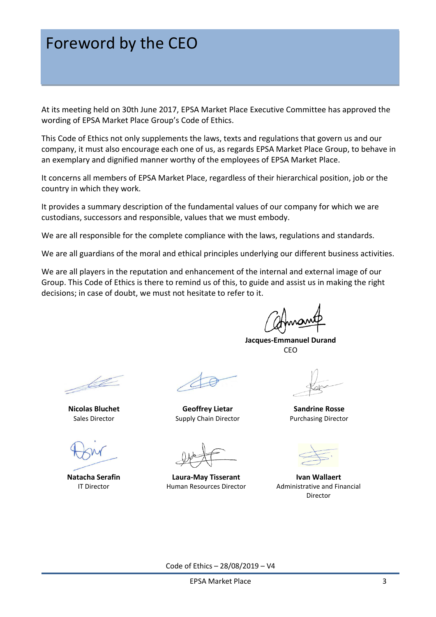### Foreword by the CEO

At its meeting held on 30th June 2017, EPSA Market Place Executive Committee has approved the wording of EPSA Market Place Group's Code of Ethics.

This Code of Ethics not only supplements the laws, texts and regulations that govern us and our company, it must also encourage each one of us, as regards EPSA Market Place Group, to behave in an exemplary and dignified manner worthy of the employees of EPSA Market Place.

It concerns all members of EPSA Market Place, regardless of their hierarchical position, job or the country in which they work.

It provides a summary description of the fundamental values of our company for which we are custodians, successors and responsible, values that we must embody.

We are all responsible for the complete compliance with the laws, regulations and standards.

We are all guardians of the moral and ethical principles underlying our different business activities.

We are all players in the reputation and enhancement of the internal and external image of our Group. This Code of Ethics is there to remind us of this, to guide and assist us in making the right decisions; in case of doubt, we must not hesitate to refer to it.

**Jacques-Emmanuel Durand** CEO

Let

**Nicolas Bluchet** Sales Director

**Natacha Serafin** IT Director

**Geoffrey Lietar** Supply Chain Director

**Laura-May Tisserant** Human Resources Director

**Sandrine Rosse** Purchasing Director



**Ivan Wallaert** Administrative and Financial Director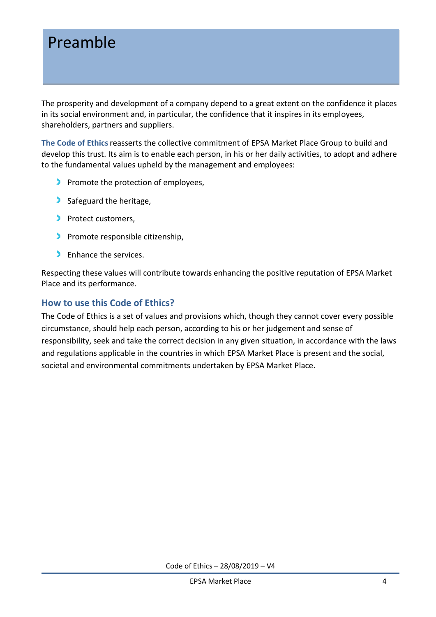### Preamble

The prosperity and development of a company depend to a great extent on the confidence it places in its social environment and, in particular, the confidence that it inspires in its employees, shareholders, partners and suppliers.

**The Code of Ethics**reasserts the collective commitment of EPSA Market Place Group to build and develop this trust. Its aim is to enable each person, in his or her daily activities, to adopt and adhere to the fundamental values upheld by the management and employees:

- Promote the protection of employees,
- Safeguard the heritage,
- Protect customers,
- **Promote responsible citizenship.**
- **C** Enhance the services.

Respecting these values will contribute towards enhancing the positive reputation of EPSA Market Place and its performance.

#### **How to use this Code of Ethics?**

The Code of Ethics is a set of values and provisions which, though they cannot cover every possible circumstance, should help each person, according to his or her judgement and sense of responsibility, seek and take the correct decision in any given situation, in accordance with the laws and regulations applicable in the countries in which EPSA Market Place is present and the social, societal and environmental commitments undertaken by EPSA Market Place.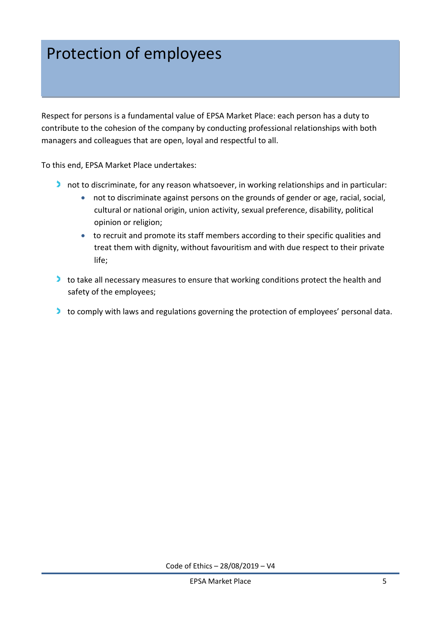### Protection of employees

Respect for persons is a fundamental value of EPSA Market Place: each person has a duty to contribute to the cohesion of the company by conducting professional relationships with both managers and colleagues that are open, loyal and respectful to all.

To this end, EPSA Market Place undertakes:

- I not to discriminate, for any reason whatsoever, in working relationships and in particular:
	- not to discriminate against persons on the grounds of gender or age, racial, social, cultural or national origin, union activity, sexual preference, disability, political opinion or religion;
	- to recruit and promote its staff members according to their specific qualities and treat them with dignity, without favouritism and with due respect to their private life;
- to take all necessary measures to ensure that working conditions protect the health and safety of the employees;
- to comply with laws and regulations governing the protection of employees' personal data.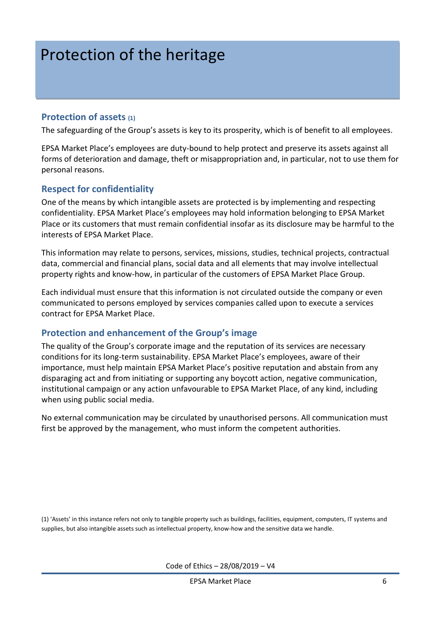## Protection of the heritage

#### **Protection of assets (1)**

The safeguarding of the Group's assets is key to its prosperity, which is of benefit to all employees.

EPSA Market Place's employees are duty-bound to help protect and preserve its assets against all forms of deterioration and damage, theft or misappropriation and, in particular, not to use them for personal reasons.

#### **Respect for confidentiality**

One of the means by which intangible assets are protected is by implementing and respecting confidentiality. EPSA Market Place's employees may hold information belonging to EPSA Market Place or its customers that must remain confidential insofar as its disclosure may be harmful to the interests of EPSA Market Place.

This information may relate to persons, services, missions, studies, technical projects, contractual data, commercial and financial plans, social data and all elements that may involve intellectual property rights and know-how, in particular of the customers of EPSA Market Place Group.

Each individual must ensure that this information is not circulated outside the company or even communicated to persons employed by services companies called upon to execute a services contract for EPSA Market Place.

#### **Protection and enhancement of the Group's image**

The quality of the Group's corporate image and the reputation of its services are necessary conditions for its long-term sustainability. EPSA Market Place's employees, aware of their importance, must help maintain EPSA Market Place's positive reputation and abstain from any disparaging act and from initiating or supporting any boycott action, negative communication, institutional campaign or any action unfavourable to EPSA Market Place, of any kind, including when using public social media.

No external communication may be circulated by unauthorised persons. All communication must first be approved by the management, who must inform the competent authorities.

(1) 'Assets' in this instance refers not only to tangible property such as buildings, facilities, equipment, computers, IT systems and supplies, but also intangible assets such as intellectual property, know-how and the sensitive data we handle.

Code of Ethics – 28/08/2019 – V4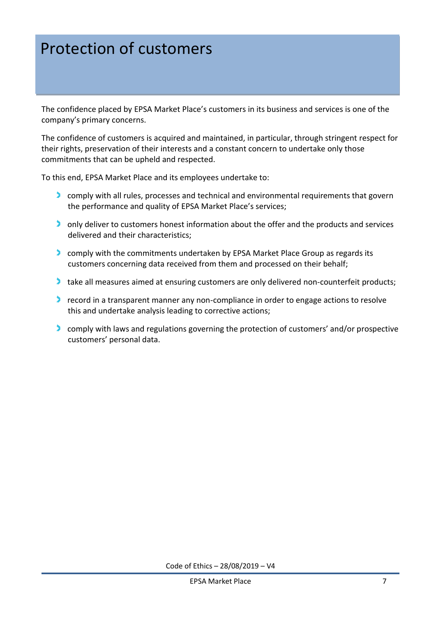## Protection of customers

The confidence placed by EPSA Market Place's customers in its business and services is one of the company's primary concerns.

The confidence of customers is acquired and maintained, in particular, through stringent respect for their rights, preservation of their interests and a constant concern to undertake only those commitments that can be upheld and respected.

To this end, EPSA Market Place and its employees undertake to:

- **Comply with all rules, processes and technical and environmental requirements that govern** the performance and quality of EPSA Market Place's services;
- only deliver to customers honest information about the offer and the products and services delivered and their characteristics;
- **Comply with the commitments undertaken by EPSA Market Place Group as regards its** customers concerning data received from them and processed on their behalf;
- take all measures aimed at ensuring customers are only delivered non-counterfeit products;
- record in a transparent manner any non-compliance in order to engage actions to resolve this and undertake analysis leading to corrective actions;
- **Comply with laws and regulations governing the protection of customers' and/or prospective** customers' personal data.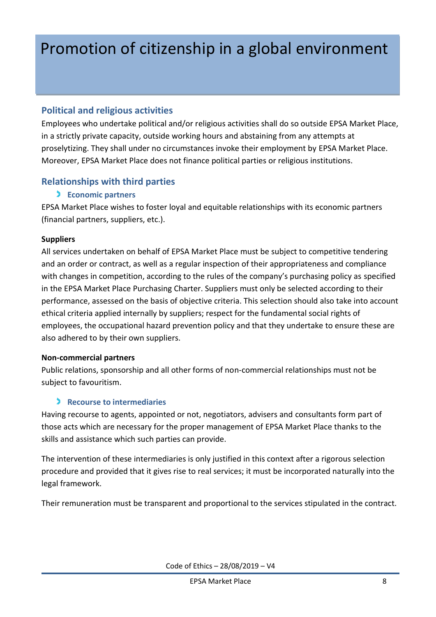## Promotion of citizenship in a global environment

#### **Political and religious activities**

Employees who undertake political and/or religious activities shall do so outside EPSA Market Place, in a strictly private capacity, outside working hours and abstaining from any attempts at proselytizing. They shall under no circumstances invoke their employment by EPSA Market Place. Moreover, EPSA Market Place does not finance political parties or religious institutions.

#### **Relationships with third parties**

#### **Economic partners**

EPSA Market Place wishes to foster loyal and equitable relationships with its economic partners (financial partners, suppliers, etc.).

#### **Suppliers**

All services undertaken on behalf of EPSA Market Place must be subject to competitive tendering and an order or contract, as well as a regular inspection of their appropriateness and compliance with changes in competition, according to the rules of the company's purchasing policy as specified in the EPSA Market Place Purchasing Charter. Suppliers must only be selected according to their performance, assessed on the basis of objective criteria. This selection should also take into account ethical criteria applied internally by suppliers; respect for the fundamental social rights of employees, the occupational hazard prevention policy and that they undertake to ensure these are also adhered to by their own suppliers.

#### **Non-commercial partners**

Public relations, sponsorship and all other forms of non-commercial relationships must not be subject to favouritism.

#### **Recourse to intermediaries**

Having recourse to agents, appointed or not, negotiators, advisers and consultants form part of those acts which are necessary for the proper management of EPSA Market Place thanks to the skills and assistance which such parties can provide.

The intervention of these intermediaries is only justified in this context after a rigorous selection procedure and provided that it gives rise to real services; it must be incorporated naturally into the legal framework.

Their remuneration must be transparent and proportional to the services stipulated in the contract.

Code of Ethics – 28/08/2019 – V4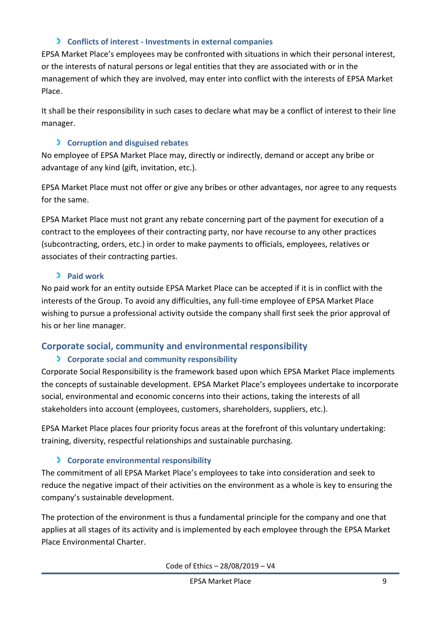#### **Conflicts of interest - Investments in external companies**

EPSA Market Place's employees may be confronted with situations in which their personal interest, or the interests of natural persons or legal entities that they are associated with or in the management of which they are involved, may enter into conflict with the interests of EPSA Market Place.

It shall be their responsibility in such cases to declare what may be a conflict of interest to their line manager.

#### **Corruption and disguised rebates**

No employee of EPSA Market Place may, directly or indirectly, demand or accept any bribe or advantage of any kind (gift, invitation, etc.).

EPSA Market Place must not offer or give any bribes or other advantages, nor agree to any requests for the same.

EPSA Market Place must not grant any rebate concerning part of the payment for execution of a contract to the employees of their contracting party, nor have recourse to any other practices (subcontracting, orders, etc.) in order to make payments to officials, employees, relatives or associates of their contracting parties.

#### **Paid work**

No paid work for an entity outside EPSA Market Place can be accepted if it is in conflict with the interests of the Group. To avoid any difficulties, any full-time employee of EPSA Market Place wishing to pursue a professional activity outside the company shall first seek the prior approval of his or her line manager.

### **Corporate social, community and environmental responsibility**

#### **Corporate social and community responsibility**

Corporate Social Responsibility is the framework based upon which EPSA Market Place implements the concepts of sustainable development. EPSA Market Place's employees undertake to incorporate social, environmental and economic concerns into their actions, taking the interests of all stakeholders into account (employees, customers, shareholders, suppliers, etc.).

EPSA Market Place places four priority focus areas at the forefront of this voluntary undertaking: training, diversity, respectful relationships and sustainable purchasing.

### **Corporate environmental responsibility**

The commitment of all EPSA Market Place's employees to take into consideration and seek to reduce the negative impact of their activities on the environment as a whole is key to ensuring the company's sustainable development.

The protection of the environment is thus a fundamental principle for the company and one that applies at all stages of its activity and is implemented by each employee through the EPSA Market Place Environmental Charter.

Code of Ethics – 28/08/2019 – V4